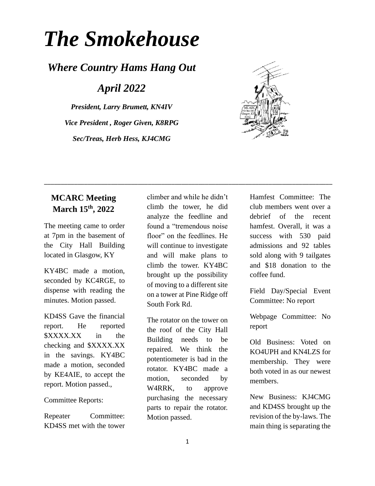# *The Smokehouse*

## *Where Country Hams Hang Out*

*April 2022*

*President, Larry Brumett, KN4IV Vice President , Roger Given, K8RPG Sec/Treas, Herb Hess, KJ4CMG*



### **MCARC Meeting March 15th, 2022**

The meeting came to order at 7pm in the basement of the City Hall Building located in Glasgow, KY

KY4BC made a motion, seconded by KC4RGE, to dispense with reading the minutes. Motion passed.

KD4SS Gave the financial report. He reported \$XXXX.XX in the checking and \$XXXX.XX in the savings. KY4BC made a motion, seconded by KE4AIE, to accept the report. Motion passed.,

Committee Reports:

Repeater Committee: KD4SS met with the tower climber and while he didn't climb the tower, he did analyze the feedline and found a "tremendous noise floor" on the feedlines. He will continue to investigate and will make plans to climb the tower. KY4BC brought up the possibility of moving to a different site on a tower at Pine Ridge off South Fork Rd.

\_\_\_\_\_\_\_\_\_\_\_\_\_\_\_\_\_\_\_\_\_\_\_\_\_\_\_\_\_\_\_\_\_\_\_\_\_\_\_\_\_\_\_\_\_\_\_\_\_\_\_\_\_\_\_\_\_\_\_\_\_\_\_\_\_\_\_\_\_\_\_\_\_\_\_\_\_\_\_\_\_\_\_\_\_\_

The rotator on the tower on the roof of the City Hall Building needs to be repaired. We think the potentiometer is bad in the rotator. KY4BC made a motion, seconded by W4RRK, to approve purchasing the necessary parts to repair the rotator. Motion passed.

Hamfest Committee: The club members went over a debrief of the recent hamfest. Overall, it was a success with 530 paid admissions and 92 tables sold along with 9 tailgates and \$18 donation to the coffee fund.

Field Day/Special Event Committee: No report

Webpage Committee: No report

Old Business: Voted on KO4UPH and KN4LZS for membership. They were both voted in as our newest members.

New Business: KJ4CMG and KD4SS brought up the revision of the by-laws. The main thing is separating the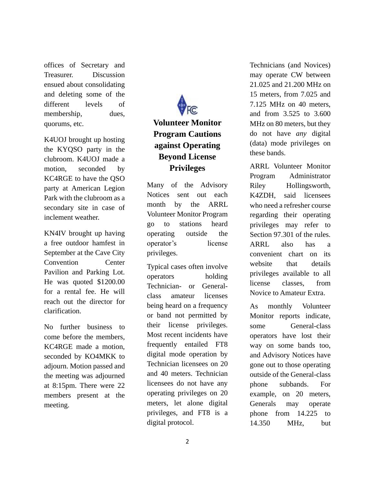offices of Secretary and Treasurer. Discussion ensued about consolidating and deleting some of the different levels of membership, dues, quorums, etc.

K4UOJ brought up hosting the KYQSO party in the clubroom. K4UOJ made a motion, seconded by KC4RGE to have the QSO party at American Legion Park with the clubroom as a secondary site in case of inclement weather.

KN4IV brought up having a free outdoor hamfest in September at the Cave City Convention Center Pavilion and Parking Lot. He was quoted \$1200.00 for a rental fee. He will reach out the director for clarification.

No further business to come before the members, KC4RGE made a motion, seconded by KO4MKK to adjourn. Motion passed and the meeting was adjourned at 8:15pm. There were 22 members present at the meeting.

# **Volunteer Monitor Program Cautions against Operating Beyond License Privileges**

Many of the Advisory Notices sent out each month by the ARRL [Volunteer Monitor Program](https://www.arrl.org/volunteer-monitor-program) go to stations heard operating outside the operator's license privileges.

Typical cases often involve operators holding Technician- or Generalclass amateur licenses being heard on a frequency or band not permitted by their license privileges. Most recent incidents have frequently entailed FT8 digital mode operation by Technician licensees on 20 and 40 meters. Technician licensees do not have any operating privileges on 20 meters, let alone digital privileges, and FT8 is a digital protocol.

Technicians (and Novices) may operate CW between 21.025 and 21.200 MHz on 15 meters, from 7.025 and 7.125 MHz on 40 meters, and from 3.525 to 3.600 MHz on 80 meters, but they do not have *any* digital (data) mode privileges on these bands.

ARRL Volunteer Monitor Program Administrator Riley Hollingsworth, K4ZDH, said licensees who need a refresher course regarding their operating privileges may refer to Section 97.301 of the rules. ARRL also has a convenient chart on its [website](http://www.arrl.org/graphical-frequency-allocations) that details privileges available to all license classes, from Novice to Amateur Extra.

As monthly Volunteer Monitor reports indicate, some General-class operators have lost their way on some bands too, and Advisory Notices have gone out to those operating outside of the General-class phone subbands. For example, on 20 meters, Generals may operate phone from 14.225 to 14.350 MHz, but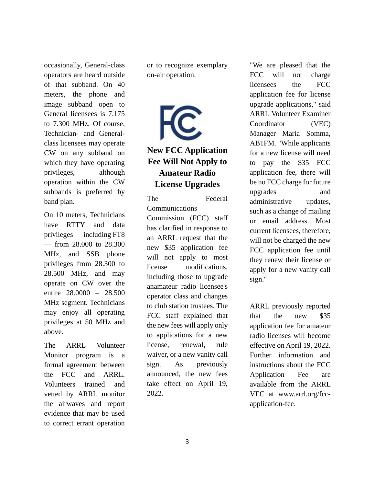occasionally, General-class operators are heard outside of that subband. On 40 meters, the phone and image subband open to General licensees is 7.175 to 7.300 MHz. Of course, Technician- and Generalclass licensees may operate CW on any subband on which they have operating privileges, although operation within the CW subbands is preferred by band plan.

On 10 meters, Technicians have RTTY and data privileges — including FT8 — from 28.000 to 28.300 MHz, and SSB phone privileges from 28.300 to 28.500 MHz, and may operate on CW over the entire 28.0000 – 28.500 MHz segment. Technicians may enjoy all operating privileges at 50 MHz and above.

The ARRL Volunteer Monitor program is a formal agreement between the FCC and ARRL. Volunteers trained and vetted by ARRL monitor the airwaves and report evidence that may be used to correct errant operation

or to recognize exemplary on-air operation.

**New FCC Application Fee Will Not Apply to Amateur Radio License Upgrades**

The Federal Communications Commission (FCC) staff has clarified in response to an ARRL request that the new \$35 application fee will not apply to most license modifications, including those to upgrade anamateur radio licensee's operator class and changes to club station trustees. The FCC staff explained that the new fees will apply only to applications for a new license, renewal, rule waiver, or a new vanity call sign. As previously announced, the new fees take effect on April 19, 2022.

"We are pleased that the FCC will not charge licensees the FCC application fee for license upgrade applications," said ARRL Volunteer Examiner Coordinator (VEC) Manager Maria Somma, AB1FM. "While applicants for a new license will need to pay the \$35 FCC application fee, there will be no FCC charge for future upgrades and administrative updates, such as a change of mailing or email address. Most current licensees, therefore, will not be charged the new FCC application fee until they renew their license or apply for a new vanity call sign."

ARRL previously reported that the new \$35 application fee for amateur radio licenses will become effective on April 19, 2022. Further information and instructions about the FCC Application Fee are available from the ARRL VEC at [www.arrl.org/fcc](http://www.arrl.org/fcc-application-fee)[application-fee.](http://www.arrl.org/fcc-application-fee)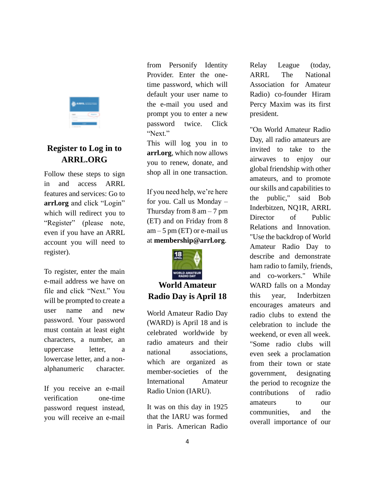

#### **Register to Log in to ARRL.ORG**

Follow these steps to sign in and access ARRL features and services: Go to **[arrl.org](http://www.arrl.org/)** and click "Login" which will redirect you to "Register" (please note, even if you have an ARRL account you will need to register).

To register, enter the main e-mail address we have on file and click "Next." You will be prompted to create a user name and new password. Your password must contain at least eight characters, a number, an uppercase letter, a lowercase letter, and a nonalphanumeric character.

If you receive an e-mail verification one-time password request instead, you will receive an e-mail

from Personify Identity Provider. Enter the onetime password, which will default your user name to the e-mail you used and prompt you to enter a new password twice. Click "Next."

This will log you in to **[arrl.org](http://www.arrl.org/)**, which now allows you to renew, donate, and shop all in one transaction.

If you need help, we're here for you. Call us Monday – Thursday from  $8 \text{ am} - 7 \text{ pm}$ (ET) and on Friday from 8  $am - 5$  pm (ET) or e-mail us at **[membership@arrl.org](mailto:membership@arrl.org)**.



### **World Amateur Radio Day is April 18**

World Amateur Radio Day (WARD) is April 18 and is celebrated worldwide by radio amateurs and their national associations, which are organized as member-societies of the International Amateur Radio Union (IARU).

It was on this day in 1925 that the IARU was formed in Paris. American Radio Relay League (today, ARRL The National Association for Amateur Radio) co-founder Hiram Percy Maxim was its first president.

"On World Amateur Radio Day, all radio amateurs are invited to take to the airwaves to enjoy our global friendship with other amateurs, and to promote our skills and capabilities to the public," said Bob Inderbitzen, NQ1R, ARRL Director of Public Relations and Innovation. "Use the backdrop of World Amateur Radio Day to describe and demonstrate ham radio to family, friends, and co-workers." While WARD falls on a Monday this year, Inderbitzen encourages amateurs and radio clubs to extend the celebration to include the weekend, or even all week. "Some radio clubs will even seek a proclamation from their town or state government, designating the period to recognize the contributions of radio amateurs to our communities, and the overall importance of our